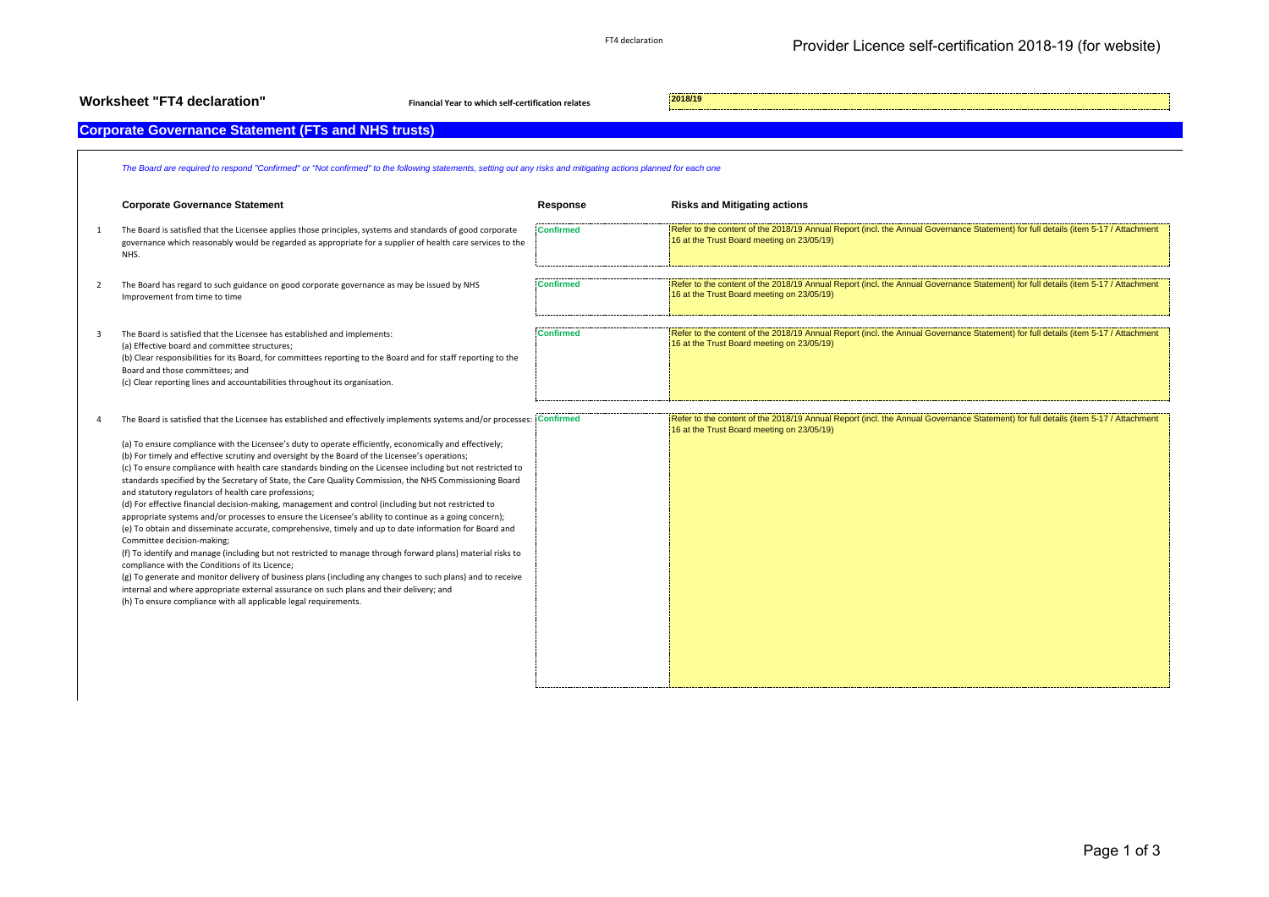| <b>Worksheet "FT4 declaration"</b><br>Financial Year to which self-certification relates |                                                                                                                                                                                                                                                                                                                                                                                                                                                                                                                                                                                                                                                                                                                                                                                                                                                                                                                                                                                                                                                                                                                                                                                                                                                                                                                                                                                                                                 |                  | 2018/19                                                                                                                                                                          |
|------------------------------------------------------------------------------------------|---------------------------------------------------------------------------------------------------------------------------------------------------------------------------------------------------------------------------------------------------------------------------------------------------------------------------------------------------------------------------------------------------------------------------------------------------------------------------------------------------------------------------------------------------------------------------------------------------------------------------------------------------------------------------------------------------------------------------------------------------------------------------------------------------------------------------------------------------------------------------------------------------------------------------------------------------------------------------------------------------------------------------------------------------------------------------------------------------------------------------------------------------------------------------------------------------------------------------------------------------------------------------------------------------------------------------------------------------------------------------------------------------------------------------------|------------------|----------------------------------------------------------------------------------------------------------------------------------------------------------------------------------|
|                                                                                          | <b>Corporate Governance Statement (FTs and NHS trusts)</b>                                                                                                                                                                                                                                                                                                                                                                                                                                                                                                                                                                                                                                                                                                                                                                                                                                                                                                                                                                                                                                                                                                                                                                                                                                                                                                                                                                      |                  |                                                                                                                                                                                  |
|                                                                                          | The Board are required to respond "Confirmed" or "Not confirmed" to the following statements, setting out any risks and mitigating actions planned for each one                                                                                                                                                                                                                                                                                                                                                                                                                                                                                                                                                                                                                                                                                                                                                                                                                                                                                                                                                                                                                                                                                                                                                                                                                                                                 |                  |                                                                                                                                                                                  |
|                                                                                          | <b>Corporate Governance Statement</b>                                                                                                                                                                                                                                                                                                                                                                                                                                                                                                                                                                                                                                                                                                                                                                                                                                                                                                                                                                                                                                                                                                                                                                                                                                                                                                                                                                                           | Response         | <b>Risks and Mitigating actions</b>                                                                                                                                              |
| $\mathbf{1}$                                                                             | The Board is satisfied that the Licensee applies those principles, systems and standards of good corporate<br>governance which reasonably would be regarded as appropriate for a supplier of health care services to the<br>NHS.                                                                                                                                                                                                                                                                                                                                                                                                                                                                                                                                                                                                                                                                                                                                                                                                                                                                                                                                                                                                                                                                                                                                                                                                | <b>Confirmed</b> | Refer to the content of the 2018/19 Annual Report (incl. the Annual Governance Statement) for full details (item 5-17 / Attachment<br>16 at the Trust Board meeting on 23/05/19) |
| $\overline{2}$                                                                           | The Board has regard to such guidance on good corporate governance as may be issued by NHS<br>Improvement from time to time                                                                                                                                                                                                                                                                                                                                                                                                                                                                                                                                                                                                                                                                                                                                                                                                                                                                                                                                                                                                                                                                                                                                                                                                                                                                                                     | <b>Confirmed</b> | Refer to the content of the 2018/19 Annual Report (incl. the Annual Governance Statement) for full details (item 5-17 / Attachment<br>16 at the Trust Board meeting on 23/05/19) |
| 3                                                                                        | The Board is satisfied that the Licensee has established and implements:<br>(a) Effective board and committee structures;<br>(b) Clear responsibilities for its Board, for committees reporting to the Board and for staff reporting to the<br>Board and those committees; and<br>(c) Clear reporting lines and accountabilities throughout its organisation.                                                                                                                                                                                                                                                                                                                                                                                                                                                                                                                                                                                                                                                                                                                                                                                                                                                                                                                                                                                                                                                                   | <b>Confirmed</b> | Refer to the content of the 2018/19 Annual Report (incl. the Annual Governance Statement) for full details (item 5-17 / Attachment<br>16 at the Trust Board meeting on 23/05/19) |
|                                                                                          | The Board is satisfied that the Licensee has established and effectively implements systems and/or processes: Confirmed<br>(a) To ensure compliance with the Licensee's duty to operate efficiently, economically and effectively;<br>(b) For timely and effective scrutiny and oversight by the Board of the Licensee's operations;<br>(c) To ensure compliance with health care standards binding on the Licensee including but not restricted to<br>standards specified by the Secretary of State, the Care Quality Commission, the NHS Commissioning Board<br>and statutory regulators of health care professions;<br>(d) For effective financial decision-making, management and control (including but not restricted to<br>appropriate systems and/or processes to ensure the Licensee's ability to continue as a going concern);<br>(e) To obtain and disseminate accurate, comprehensive, timely and up to date information for Board and<br>Committee decision-making;<br>(f) To identify and manage (including but not restricted to manage through forward plans) material risks to<br>compliance with the Conditions of its Licence;<br>(g) To generate and monitor delivery of business plans (including any changes to such plans) and to receive<br>internal and where appropriate external assurance on such plans and their delivery; and<br>(h) To ensure compliance with all applicable legal requirements. |                  | Refer to the content of the 2018/19 Annual Report (incl. the Annual Governance Statement) for full details (item 5-17 / Attachment<br>16 at the Trust Board meeting on 23/05/19) |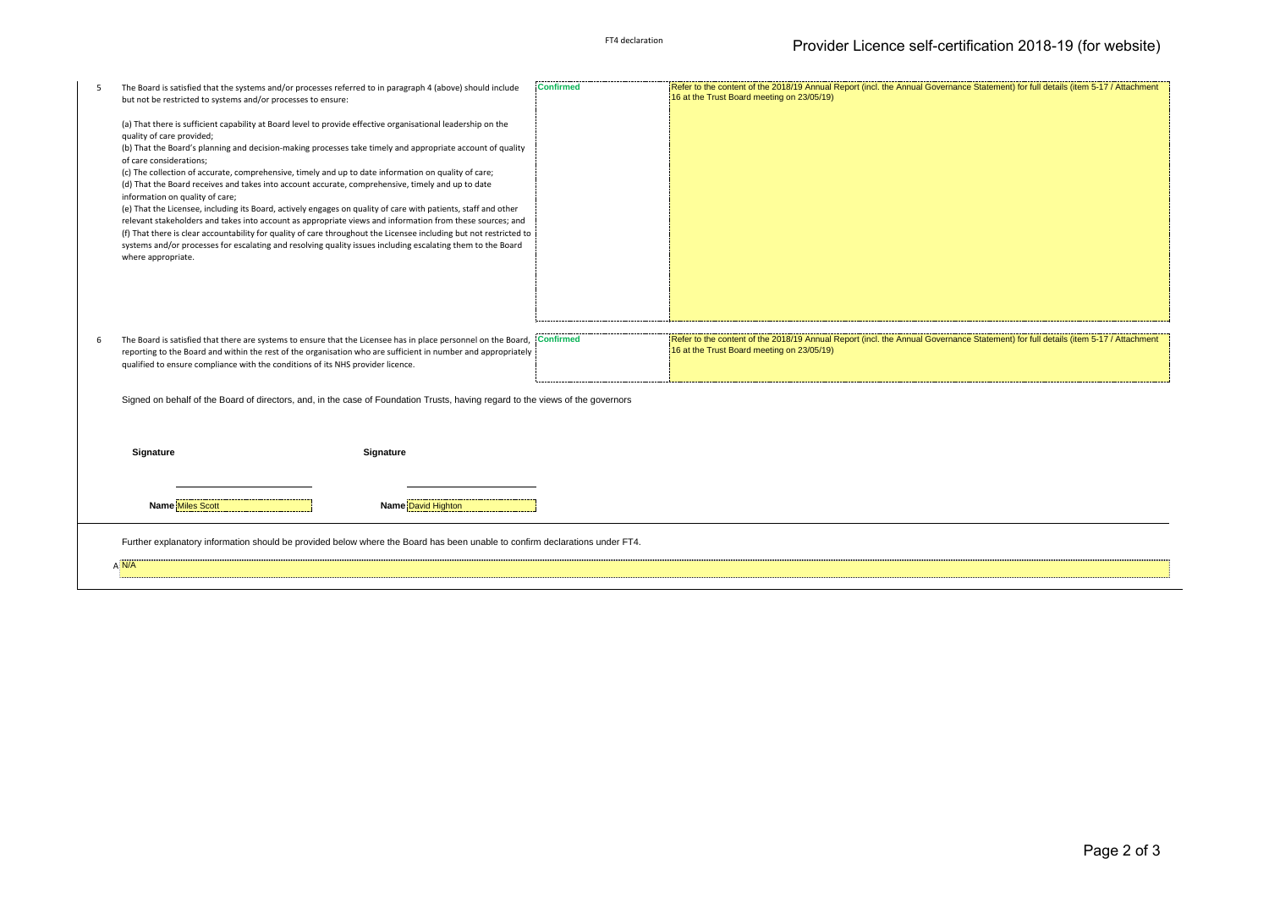| .5 | The Board is satisfied that the systems and/or processes referred to in paragraph 4 (above) should include<br>but not be restricted to systems and/or processes to ensure:                                                      | <b>Confirmed</b> | Refer to the content of the 2018/19 Annual Report (incl. the Annual Governance Statement) for full details (item 5-17 / Attachment<br>16 at the Trust Board meeting on 23/05/19) |
|----|---------------------------------------------------------------------------------------------------------------------------------------------------------------------------------------------------------------------------------|------------------|----------------------------------------------------------------------------------------------------------------------------------------------------------------------------------|
|    |                                                                                                                                                                                                                                 |                  |                                                                                                                                                                                  |
|    | (a) That there is sufficient capability at Board level to provide effective organisational leadership on the<br>quality of care provided;                                                                                       |                  |                                                                                                                                                                                  |
|    | (b) That the Board's planning and decision-making processes take timely and appropriate account of quality<br>of care considerations;                                                                                           |                  |                                                                                                                                                                                  |
|    | (c) The collection of accurate, comprehensive, timely and up to date information on quality of care;                                                                                                                            |                  |                                                                                                                                                                                  |
|    | (d) That the Board receives and takes into account accurate, comprehensive, timely and up to date<br>information on quality of care;                                                                                            |                  |                                                                                                                                                                                  |
|    | (e) That the Licensee, including its Board, actively engages on quality of care with patients, staff and other                                                                                                                  |                  |                                                                                                                                                                                  |
|    | relevant stakeholders and takes into account as appropriate views and information from these sources; and<br>(f) That there is clear accountability for quality of care throughout the Licensee including but not restricted to |                  |                                                                                                                                                                                  |
|    | systems and/or processes for escalating and resolving quality issues including escalating them to the Board<br>where appropriate.                                                                                               |                  |                                                                                                                                                                                  |
|    |                                                                                                                                                                                                                                 |                  |                                                                                                                                                                                  |
|    |                                                                                                                                                                                                                                 |                  |                                                                                                                                                                                  |
|    |                                                                                                                                                                                                                                 |                  |                                                                                                                                                                                  |
|    |                                                                                                                                                                                                                                 |                  |                                                                                                                                                                                  |
|    |                                                                                                                                                                                                                                 |                  |                                                                                                                                                                                  |
|    | The Board is satisfied that there are systems to ensure that the Licensee has in place personnel on the Board,<br>reporting to the Board and within the rest of the organisation who are sufficient in number and appropriately | <b>Confirmed</b> | Refer to the content of the 2018/19 Annual Report (incl. the Annual Governance Statement) for full details (item 5-17 / Attachment<br>16 at the Trust Board meeting on 23/05/19) |
|    | qualified to ensure compliance with the conditions of its NHS provider licence.                                                                                                                                                 |                  |                                                                                                                                                                                  |
|    | Signed on behalf of the Board of directors, and, in the case of Foundation Trusts, having regard to the views of the governors                                                                                                  |                  |                                                                                                                                                                                  |
|    |                                                                                                                                                                                                                                 |                  |                                                                                                                                                                                  |
|    |                                                                                                                                                                                                                                 |                  |                                                                                                                                                                                  |
|    | Signature<br>Signature                                                                                                                                                                                                          |                  |                                                                                                                                                                                  |
|    |                                                                                                                                                                                                                                 |                  |                                                                                                                                                                                  |
|    |                                                                                                                                                                                                                                 |                  |                                                                                                                                                                                  |
|    | <b>Name Miles Scott</b><br><b>Name David Highton</b>                                                                                                                                                                            |                  |                                                                                                                                                                                  |
|    | Further explanatory information should be provided below where the Board has been unable to confirm declarations under FT4.                                                                                                     |                  |                                                                                                                                                                                  |